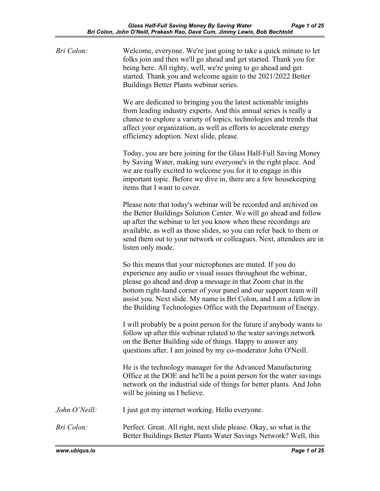| Bri Colon:    | Welcome, everyone. We're just going to take a quick minute to let<br>folks join and then we'll go ahead and get started. Thank you for<br>being here. All righty, well, we're going to go ahead and get<br>started. Thank you and welcome again to the 2021/2022 Better<br>Buildings Better Plants webinar series.                                                                                    |
|---------------|-------------------------------------------------------------------------------------------------------------------------------------------------------------------------------------------------------------------------------------------------------------------------------------------------------------------------------------------------------------------------------------------------------|
|               | We are dedicated to bringing you the latest actionable insights<br>from leading industry experts. And this annual series is really a<br>chance to explore a variety of topics, technologies and trends that<br>affect your organization, as well as efforts to accelerate energy<br>efficiency adoption. Next slide, please.                                                                          |
|               | Today, you are here joining for the Glass Half-Full Saving Money<br>by Saving Water, making sure everyone's in the right place. And<br>we are really excited to welcome you for it to engage in this<br>important topic. Before we dive in, there are a few housekeeping<br>items that I want to cover.                                                                                               |
|               | Please note that today's webinar will be recorded and archived on<br>the Better Buildings Solution Center. We will go ahead and follow<br>up after the webinar to let you know when these recordings are<br>available, as well as those slides, so you can refer back to them or<br>send them out to your network or colleagues. Next, attendees are in<br>listen only mode.                          |
|               | So this means that your microphones are muted. If you do<br>experience any audio or visual issues throughout the webinar,<br>please go ahead and drop a message in that Zoom chat in the<br>bottom right-hand corner of your panel and our support team will<br>assist you. Next slide. My name is Bri Colon, and I am a fellow in<br>the Building Technologies Office with the Department of Energy. |
|               | I will probably be a point person for the future if anybody wants to<br>follow up after this webinar related to the water savings network<br>on the Better Building side of things. Happy to answer any<br>questions after. I am joined by my co-moderator John O'Neill.                                                                                                                              |
|               | He is the technology manager for the Advanced Manufacturing<br>Office at the DOE and he'll be a point person for the water savings<br>network on the industrial side of things for better plants. And John<br>will be joining us I believe.                                                                                                                                                           |
| John O'Neill: | I just got my internet working. Hello everyone.                                                                                                                                                                                                                                                                                                                                                       |
| Bri Colon:    | Perfect. Great. All right, next slide please. Okay, so what is the<br>Better Buildings Better Plants Water Savings Network? Well, this                                                                                                                                                                                                                                                                |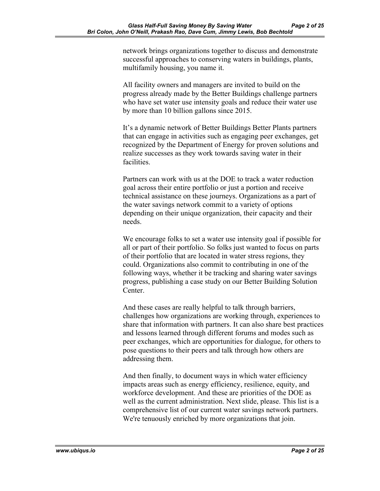network brings organizations together to discuss and demonstrate successful approaches to conserving waters in buildings, plants, multifamily housing, you name it.

All facility owners and managers are invited to build on the progress already made by the Better Buildings challenge partners who have set water use intensity goals and reduce their water use by more than 10 billion gallons since 2015.

It's a dynamic network of Better Buildings Better Plants partners that can engage in activities such as engaging peer exchanges, get recognized by the Department of Energy for proven solutions and realize successes as they work towards saving water in their facilities.

Partners can work with us at the DOE to track a water reduction goal across their entire portfolio or just a portion and receive technical assistance on these journeys. Organizations as a part of the water savings network commit to a variety of options depending on their unique organization, their capacity and their needs.

We encourage folks to set a water use intensity goal if possible for all or part of their portfolio. So folks just wanted to focus on parts of their portfolio that are located in water stress regions, they could. Organizations also commit to contributing in one of the following ways, whether it be tracking and sharing water savings progress, publishing a case study on our Better Building Solution Center.

And these cases are really helpful to talk through barriers, challenges how organizations are working through, experiences to share that information with partners. It can also share best practices and lessons learned through different forums and modes such as peer exchanges, which are opportunities for dialogue, for others to pose questions to their peers and talk through how others are addressing them.

And then finally, to document ways in which water efficiency impacts areas such as energy efficiency, resilience, equity, and workforce development. And these are priorities of the DOE as well as the current administration. Next slide, please. This list is a comprehensive list of our current water savings network partners. We're tenuously enriched by more organizations that join.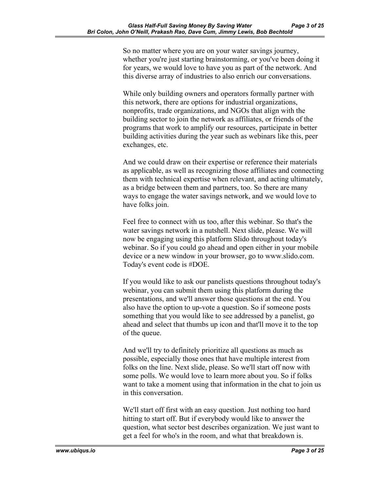So no matter where you are on your water savings journey, whether you're just starting brainstorming, or you've been doing it for years, we would love to have you as part of the network. And this diverse array of industries to also enrich our conversations.

While only building owners and operators formally partner with this network, there are options for industrial organizations, nonprofits, trade organizations, and NGOs that align with the building sector to join the network as affiliates, or friends of the programs that work to amplify our resources, participate in better building activities during the year such as webinars like this, peer exchanges, etc.

And we could draw on their expertise or reference their materials as applicable, as well as recognizing those affiliates and connecting them with technical expertise when relevant, and acting ultimately, as a bridge between them and partners, too. So there are many ways to engage the water savings network, and we would love to have folks join.

Feel free to connect with us too, after this webinar. So that's the water savings network in a nutshell. Next slide, please. We will now be engaging using this platform Slido throughout today's webinar. So if you could go ahead and open either in your mobile device or a new window in your browser, go to www.slido.com. Today's event code is #DOE.

If you would like to ask our panelists questions throughout today's webinar, you can submit them using this platform during the presentations, and we'll answer those questions at the end. You also have the option to up-vote a question. So if someone posts something that you would like to see addressed by a panelist, go ahead and select that thumbs up icon and that'll move it to the top of the queue.

And we'll try to definitely prioritize all questions as much as possible, especially those ones that have multiple interest from folks on the line. Next slide, please. So we'll start off now with some polls. We would love to learn more about you. So if folks want to take a moment using that information in the chat to join us in this conversation.

We'll start off first with an easy question. Just nothing too hard hitting to start off. But if everybody would like to answer the question, what sector best describes organization. We just want to get a feel for who's in the room, and what that breakdown is.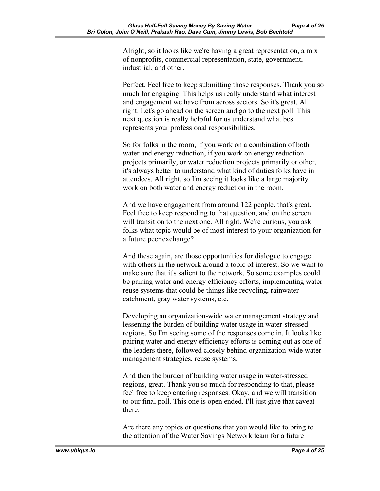Alright, so it looks like we're having a great representation, a mix of nonprofits, commercial representation, state, government, industrial, and other.

Perfect. Feel free to keep submitting those responses. Thank you so much for engaging. This helps us really understand what interest and engagement we have from across sectors. So it's great. All right. Let's go ahead on the screen and go to the next poll. This next question is really helpful for us understand what best represents your professional responsibilities.

So for folks in the room, if you work on a combination of both water and energy reduction, if you work on energy reduction projects primarily, or water reduction projects primarily or other, it's always better to understand what kind of duties folks have in attendees. All right, so I'm seeing it looks like a large majority work on both water and energy reduction in the room.

And we have engagement from around 122 people, that's great. Feel free to keep responding to that question, and on the screen will transition to the next one. All right. We're curious, you ask folks what topic would be of most interest to your organization for a future peer exchange?

And these again, are those opportunities for dialogue to engage with others in the network around a topic of interest. So we want to make sure that it's salient to the network. So some examples could be pairing water and energy efficiency efforts, implementing water reuse systems that could be things like recycling, rainwater catchment, gray water systems, etc.

Developing an organization-wide water management strategy and lessening the burden of building water usage in water-stressed regions. So I'm seeing some of the responses come in. It looks like pairing water and energy efficiency efforts is coming out as one of the leaders there, followed closely behind organization-wide water management strategies, reuse systems.

And then the burden of building water usage in water-stressed regions, great. Thank you so much for responding to that, please feel free to keep entering responses. Okay, and we will transition to our final poll. This one is open ended. I'll just give that caveat there.

Are there any topics or questions that you would like to bring to the attention of the Water Savings Network team for a future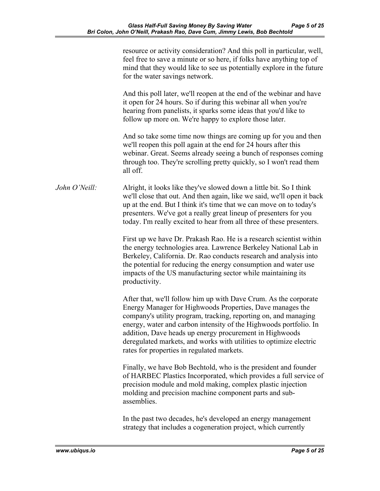|               | resource or activity consideration? And this poll in particular, well,<br>feel free to save a minute or so here, if folks have anything top of<br>mind that they would like to see us potentially explore in the future<br>for the water savings network.                                                                                                                                                                                            |
|---------------|------------------------------------------------------------------------------------------------------------------------------------------------------------------------------------------------------------------------------------------------------------------------------------------------------------------------------------------------------------------------------------------------------------------------------------------------------|
|               | And this poll later, we'll reopen at the end of the webinar and have<br>it open for 24 hours. So if during this webinar all when you're<br>hearing from panelists, it sparks some ideas that you'd like to<br>follow up more on. We're happy to explore those later.                                                                                                                                                                                 |
|               | And so take some time now things are coming up for you and then<br>we'll reopen this poll again at the end for 24 hours after this<br>webinar. Great. Seems already seeing a bunch of responses coming<br>through too. They're scrolling pretty quickly, so I won't read them<br>all off.                                                                                                                                                            |
| John O'Neill: | Alright, it looks like they've slowed down a little bit. So I think<br>we'll close that out. And then again, like we said, we'll open it back<br>up at the end. But I think it's time that we can move on to today's<br>presenters. We've got a really great lineup of presenters for you<br>today. I'm really excited to hear from all three of these presenters.                                                                                   |
|               | First up we have Dr. Prakash Rao. He is a research scientist within<br>the energy technologies area. Lawrence Berkeley National Lab in<br>Berkeley, California. Dr. Rao conducts research and analysis into<br>the potential for reducing the energy consumption and water use<br>impacts of the US manufacturing sector while maintaining its<br>productivity.                                                                                      |
|               | After that, we'll follow him up with Dave Crum. As the corporate<br>Energy Manager for Highwoods Properties, Dave manages the<br>company's utility program, tracking, reporting on, and managing<br>energy, water and carbon intensity of the Highwoods portfolio. In<br>addition, Dave heads up energy procurement in Highwoods<br>deregulated markets, and works with utilities to optimize electric<br>rates for properties in regulated markets. |
|               | Finally, we have Bob Bechtold, who is the president and founder<br>of HARBEC Plastics Incorporated, which provides a full service of<br>precision module and mold making, complex plastic injection<br>molding and precision machine component parts and sub-<br>assemblies.                                                                                                                                                                         |
|               | In the past two decades, he's developed an energy management                                                                                                                                                                                                                                                                                                                                                                                         |

strategy that includes a cogeneration project, which currently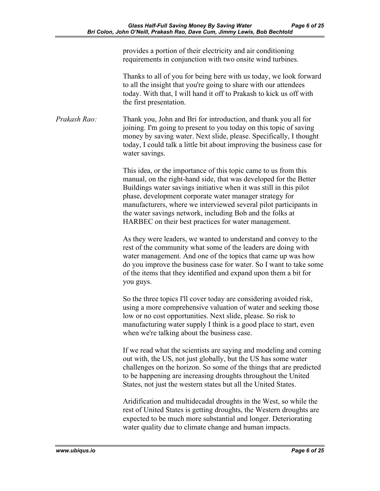provides a portion of their electricity and air conditioning requirements in conjunction with two onsite wind turbines.

Thanks to all of you for being here with us today, we look forward to all the insight that you're going to share with our attendees today. With that, I will hand it off to Prakash to kick us off with the first presentation.

*Prakash Rao:* Thank you, John and Bri for introduction, and thank you all for joining. I'm going to present to you today on this topic of saving money by saving water. Next slide, please. Specifically, I thought today, I could talk a little bit about improving the business case for water savings.

> This idea, or the importance of this topic came to us from this manual, on the right-hand side, that was developed for the Better Buildings water savings initiative when it was still in this pilot phase, development corporate water manager strategy for manufacturers, where we interviewed several pilot participants in the water savings network, including Bob and the folks at HARBEC on their best practices for water management.

As they were leaders, we wanted to understand and convey to the rest of the community what some of the leaders are doing with water management. And one of the topics that came up was how do you improve the business case for water. So I want to take some of the items that they identified and expand upon them a bit for you guys.

So the three topics I'll cover today are considering avoided risk, using a more comprehensive valuation of water and seeking those low or no cost opportunities. Next slide, please. So risk to manufacturing water supply I think is a good place to start, even when we're talking about the business case.

If we read what the scientists are saying and modeling and coming out with, the US, not just globally, but the US has some water challenges on the horizon. So some of the things that are predicted to be happening are increasing droughts throughout the United States, not just the western states but all the United States.

Aridification and multidecadal droughts in the West, so while the rest of United States is getting droughts, the Western droughts are expected to be much more substantial and longer. Deteriorating water quality due to climate change and human impacts.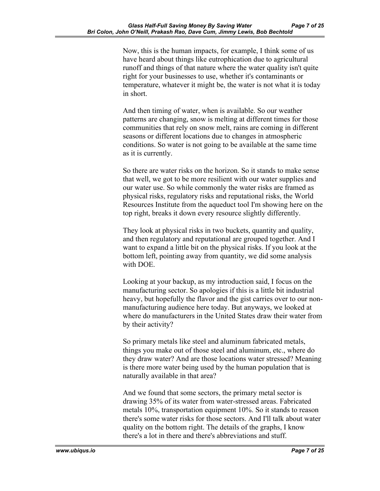Now, this is the human impacts, for example, I think some of us have heard about things like eutrophication due to agricultural runoff and things of that nature where the water quality isn't quite right for your businesses to use, whether it's contaminants or temperature, whatever it might be, the water is not what it is today in short.

And then timing of water, when is available. So our weather patterns are changing, snow is melting at different times for those communities that rely on snow melt, rains are coming in different seasons or different locations due to changes in atmospheric conditions. So water is not going to be available at the same time as it is currently.

So there are water risks on the horizon. So it stands to make sense that well, we got to be more resilient with our water supplies and our water use. So while commonly the water risks are framed as physical risks, regulatory risks and reputational risks, the World Resources Institute from the aqueduct tool I'm showing here on the top right, breaks it down every resource slightly differently.

They look at physical risks in two buckets, quantity and quality, and then regulatory and reputational are grouped together. And I want to expand a little bit on the physical risks. If you look at the bottom left, pointing away from quantity, we did some analysis with DOE.

Looking at your backup, as my introduction said, I focus on the manufacturing sector. So apologies if this is a little bit industrial heavy, but hopefully the flavor and the gist carries over to our nonmanufacturing audience here today. But anyways, we looked at where do manufacturers in the United States draw their water from by their activity?

So primary metals like steel and aluminum fabricated metals, things you make out of those steel and aluminum, etc., where do they draw water? And are those locations water stressed? Meaning is there more water being used by the human population that is naturally available in that area?

And we found that some sectors, the primary metal sector is drawing 35% of its water from water-stressed areas. Fabricated metals 10%, transportation equipment 10%. So it stands to reason there's some water risks for those sectors. And I'll talk about water quality on the bottom right. The details of the graphs, I know there's a lot in there and there's abbreviations and stuff.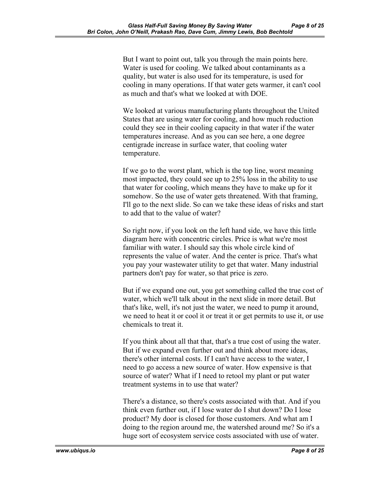But I want to point out, talk you through the main points here. Water is used for cooling. We talked about contaminants as a quality, but water is also used for its temperature, is used for cooling in many operations. If that water gets warmer, it can't cool as much and that's what we looked at with DOE.

We looked at various manufacturing plants throughout the United States that are using water for cooling, and how much reduction could they see in their cooling capacity in that water if the water temperatures increase. And as you can see here, a one degree centigrade increase in surface water, that cooling water temperature.

If we go to the worst plant, which is the top line, worst meaning most impacted, they could see up to 25% loss in the ability to use that water for cooling, which means they have to make up for it somehow. So the use of water gets threatened. With that framing, I'll go to the next slide. So can we take these ideas of risks and start to add that to the value of water?

So right now, if you look on the left hand side, we have this little diagram here with concentric circles. Price is what we're most familiar with water. I should say this whole circle kind of represents the value of water. And the center is price. That's what you pay your wastewater utility to get that water. Many industrial partners don't pay for water, so that price is zero.

But if we expand one out, you get something called the true cost of water, which we'll talk about in the next slide in more detail. But that's like, well, it's not just the water, we need to pump it around, we need to heat it or cool it or treat it or get permits to use it, or use chemicals to treat it.

If you think about all that that, that's a true cost of using the water. But if we expand even further out and think about more ideas, there's other internal costs. If I can't have access to the water, I need to go access a new source of water. How expensive is that source of water? What if I need to retool my plant or put water treatment systems in to use that water?

There's a distance, so there's costs associated with that. And if you think even further out, if I lose water do I shut down? Do I lose product? My door is closed for those customers. And what am I doing to the region around me, the watershed around me? So it's a huge sort of ecosystem service costs associated with use of water.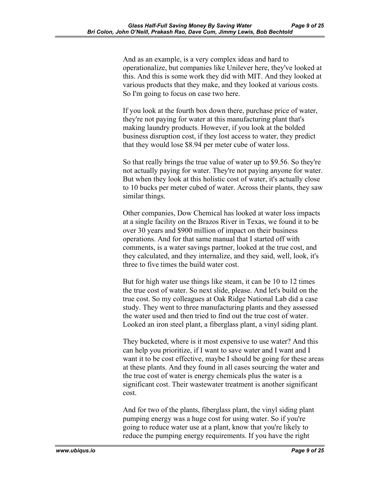And as an example, is a very complex ideas and hard to operationalize, but companies like Unilever here, they've looked at this. And this is some work they did with MIT. And they looked at various products that they make, and they looked at various costs. So I'm going to focus on case two here.

If you look at the fourth box down there, purchase price of water, they're not paying for water at this manufacturing plant that's making laundry products. However, if you look at the bolded business disruption cost, if they lost access to water, they predict that they would lose \$8.94 per meter cube of water loss.

So that really brings the true value of water up to \$9.56. So they're not actually paying for water. They're not paying anyone for water. But when they look at this holistic cost of water, it's actually close to 10 bucks per meter cubed of water. Across their plants, they saw similar things.

Other companies, Dow Chemical has looked at water loss impacts at a single facility on the Brazos River in Texas, we found it to be over 30 years and \$900 million of impact on their business operations. And for that same manual that I started off with comments, is a water savings partner, looked at the true cost, and they calculated, and they internalize, and they said, well, look, it's three to five times the build water cost.

But for high water use things like steam, it can be 10 to 12 times the true cost of water. So next slide, please. And let's build on the true cost. So my colleagues at Oak Ridge National Lab did a case study. They went to three manufacturing plants and they assessed the water used and then tried to find out the true cost of water. Looked an iron steel plant, a fiberglass plant, a vinyl siding plant.

They bucketed, where is it most expensive to use water? And this can help you prioritize, if I want to save water and I want and I want it to be cost effective, maybe I should be going for these areas at these plants. And they found in all cases sourcing the water and the true cost of water is energy chemicals plus the water is a significant cost. Their wastewater treatment is another significant cost.

And for two of the plants, fiberglass plant, the vinyl siding plant pumping energy was a huge cost for using water. So if you're going to reduce water use at a plant, know that you're likely to reduce the pumping energy requirements. If you have the right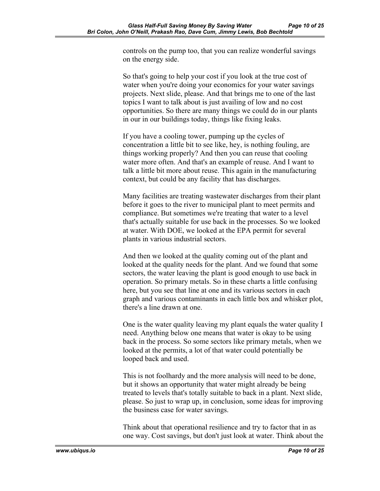controls on the pump too, that you can realize wonderful savings on the energy side.

So that's going to help your cost if you look at the true cost of water when you're doing your economics for your water savings projects. Next slide, please. And that brings me to one of the last topics I want to talk about is just availing of low and no cost opportunities. So there are many things we could do in our plants in our in our buildings today, things like fixing leaks.

If you have a cooling tower, pumping up the cycles of concentration a little bit to see like, hey, is nothing fouling, are things working properly? And then you can reuse that cooling water more often. And that's an example of reuse. And I want to talk a little bit more about reuse. This again in the manufacturing context, but could be any facility that has discharges.

Many facilities are treating wastewater discharges from their plant before it goes to the river to municipal plant to meet permits and compliance. But sometimes we're treating that water to a level that's actually suitable for use back in the processes. So we looked at water. With DOE, we looked at the EPA permit for several plants in various industrial sectors.

And then we looked at the quality coming out of the plant and looked at the quality needs for the plant. And we found that some sectors, the water leaving the plant is good enough to use back in operation. So primary metals. So in these charts a little confusing here, but you see that line at one and its various sectors in each graph and various contaminants in each little box and whisker plot, there's a line drawn at one.

One is the water quality leaving my plant equals the water quality I need. Anything below one means that water is okay to be using back in the process. So some sectors like primary metals, when we looked at the permits, a lot of that water could potentially be looped back and used.

This is not foolhardy and the more analysis will need to be done, but it shows an opportunity that water might already be being treated to levels that's totally suitable to back in a plant. Next slide, please. So just to wrap up, in conclusion, some ideas for improving the business case for water savings.

Think about that operational resilience and try to factor that in as one way. Cost savings, but don't just look at water. Think about the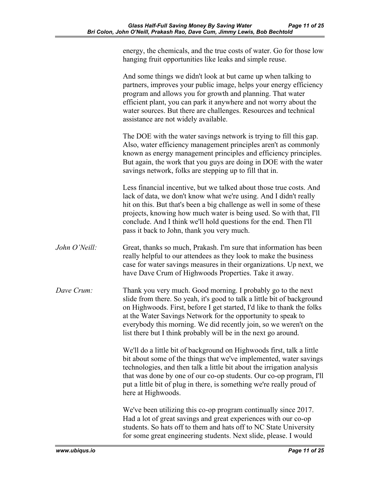energy, the chemicals, and the true costs of water. Go for those low hanging fruit opportunities like leaks and simple reuse.

And some things we didn't look at but came up when talking to partners, improves your public image, helps your energy efficiency program and allows you for growth and planning. That water efficient plant, you can park it anywhere and not worry about the water sources. But there are challenges. Resources and technical assistance are not widely available.

The DOE with the water savings network is trying to fill this gap. Also, water efficiency management principles aren't as commonly known as energy management principles and efficiency principles. But again, the work that you guys are doing in DOE with the water savings network, folks are stepping up to fill that in.

Less financial incentive, but we talked about those true costs. And lack of data, we don't know what we're using. And I didn't really hit on this. But that's been a big challenge as well in some of these projects, knowing how much water is being used. So with that, I'll conclude. And I think we'll hold questions for the end. Then I'll pass it back to John, thank you very much.

- *John O'Neill:* Great, thanks so much, Prakash. I'm sure that information has been really helpful to our attendees as they look to make the business case for water savings measures in their organizations. Up next, we have Dave Crum of Highwoods Properties. Take it away.
- *Dave Crum:* Thank you very much. Good morning. I probably go to the next slide from there. So yeah, it's good to talk a little bit of background on Highwoods. First, before I get started, I'd like to thank the folks at the Water Savings Network for the opportunity to speak to everybody this morning. We did recently join, so we weren't on the list there but I think probably will be in the next go around.

We'll do a little bit of background on Highwoods first, talk a little bit about some of the things that we've implemented, water savings technologies, and then talk a little bit about the irrigation analysis that was done by one of our co-op students. Our co-op program, I'll put a little bit of plug in there, is something we're really proud of here at Highwoods.

We've been utilizing this co-op program continually since 2017. Had a lot of great savings and great experiences with our co-op students. So hats off to them and hats off to NC State University for some great engineering students. Next slide, please. I would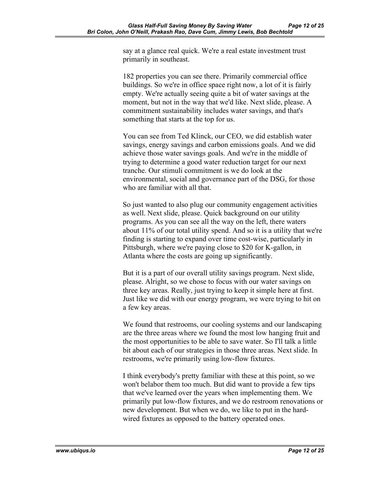say at a glance real quick. We're a real estate investment trust primarily in southeast.

182 properties you can see there. Primarily commercial office buildings. So we're in office space right now, a lot of it is fairly empty. We're actually seeing quite a bit of water savings at the moment, but not in the way that we'd like. Next slide, please. A commitment sustainability includes water savings, and that's something that starts at the top for us.

You can see from Ted Klinck, our CEO, we did establish water savings, energy savings and carbon emissions goals. And we did achieve those water savings goals. And we're in the middle of trying to determine a good water reduction target for our next tranche. Our stimuli commitment is we do look at the environmental, social and governance part of the DSG, for those who are familiar with all that.

So just wanted to also plug our community engagement activities as well. Next slide, please. Quick background on our utility programs. As you can see all the way on the left, there waters about 11% of our total utility spend. And so it is a utility that we're finding is starting to expand over time cost-wise, particularly in Pittsburgh, where we're paying close to \$20 for K-gallon, in Atlanta where the costs are going up significantly.

But it is a part of our overall utility savings program. Next slide, please. Alright, so we chose to focus with our water savings on three key areas. Really, just trying to keep it simple here at first. Just like we did with our energy program, we were trying to hit on a few key areas.

We found that restrooms, our cooling systems and our landscaping are the three areas where we found the most low hanging fruit and the most opportunities to be able to save water. So I'll talk a little bit about each of our strategies in those three areas. Next slide. In restrooms, we're primarily using low-flow fixtures.

I think everybody's pretty familiar with these at this point, so we won't belabor them too much. But did want to provide a few tips that we've learned over the years when implementing them. We primarily put low-flow fixtures, and we do restroom renovations or new development. But when we do, we like to put in the hardwired fixtures as opposed to the battery operated ones.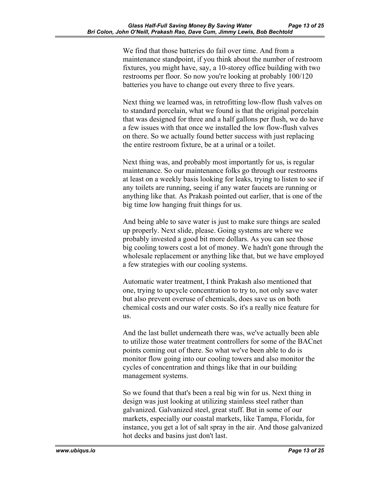We find that those batteries do fail over time. And from a maintenance standpoint, if you think about the number of restroom fixtures, you might have, say, a 10-storey office building with two restrooms per floor. So now you're looking at probably 100/120 batteries you have to change out every three to five years.

Next thing we learned was, in retrofitting low-flow flush valves on to standard porcelain, what we found is that the original porcelain that was designed for three and a half gallons per flush, we do have a few issues with that once we installed the low flow-flush valves on there. So we actually found better success with just replacing the entire restroom fixture, be at a urinal or a toilet.

Next thing was, and probably most importantly for us, is regular maintenance. So our maintenance folks go through our restrooms at least on a weekly basis looking for leaks, trying to listen to see if any toilets are running, seeing if any water faucets are running or anything like that. As Prakash pointed out earlier, that is one of the big time low hanging fruit things for us.

And being able to save water is just to make sure things are sealed up properly. Next slide, please. Going systems are where we probably invested a good bit more dollars. As you can see those big cooling towers cost a lot of money. We hadn't gone through the wholesale replacement or anything like that, but we have employed a few strategies with our cooling systems.

Automatic water treatment, I think Prakash also mentioned that one, trying to upcycle concentration to try to, not only save water but also prevent overuse of chemicals, does save us on both chemical costs and our water costs. So it's a really nice feature for us.

And the last bullet underneath there was, we've actually been able to utilize those water treatment controllers for some of the BACnet points coming out of there. So what we've been able to do is monitor flow going into our cooling towers and also monitor the cycles of concentration and things like that in our building management systems.

So we found that that's been a real big win for us. Next thing in design was just looking at utilizing stainless steel rather than galvanized. Galvanized steel, great stuff. But in some of our markets, especially our coastal markets, like Tampa, Florida, for instance, you get a lot of salt spray in the air. And those galvanized hot decks and basins just don't last.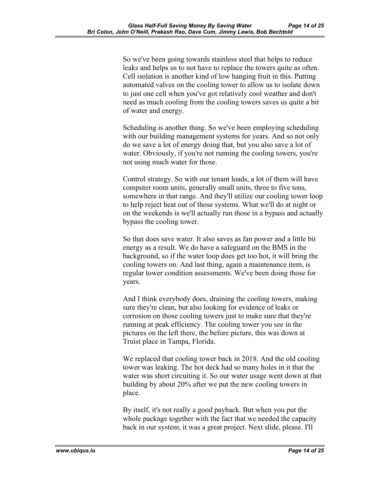So we've been going towards stainless steel that helps to reduce leaks and helps us to not have to replace the towers quite as often. Cell isolation is another kind of low hanging fruit in this. Putting automated valves on the cooling tower to allow us to isolate down to just one cell when you've got relatively cool weather and don't need as much cooling from the cooling towers saves us quite a bit of water and energy.

Scheduling is another thing. So we've been employing scheduling with our building management systems for years. And so not only do we save a lot of energy doing that, but you also save a lot of water. Obviously, if you're not running the cooling towers, you're not using much water for those.

Control strategy. So with our tenant loads, a lot of them will have computer room units, generally small units, three to five tons, somewhere in that range. And they'll utilize our cooling tower loop to help reject heat out of those systems. What we'll do at night or on the weekends is we'll actually run those in a bypass and actually bypass the cooling tower.

So that does save water. It also saves as fan power and a little bit energy as a result. We do have a safeguard on the BMS in the background, so if the water loop does get too hot, it will bring the cooling towers on. And last thing, again a maintenance item, is regular tower condition assessments. We've been doing those for years.

And I think everybody does, draining the cooling towers, making sure they're clean, but also looking for evidence of leaks or corrosion on those cooling towers just to make sure that they're running at peak efficiency. The cooling tower you see in the pictures on the left there, the before picture, this was down at Truist place in Tampa, Florida.

We replaced that cooling tower back in 2018. And the old cooling tower was leaking. The hot deck had so many holes in it that the water was short circuiting it. So our water usage went down at that building by about 20% after we put the new cooling towers in place.

By itself, it's not really a good payback. But when you put the whole package together with the fact that we needed the capacity back in our system, it was a great project. Next slide, please. I'll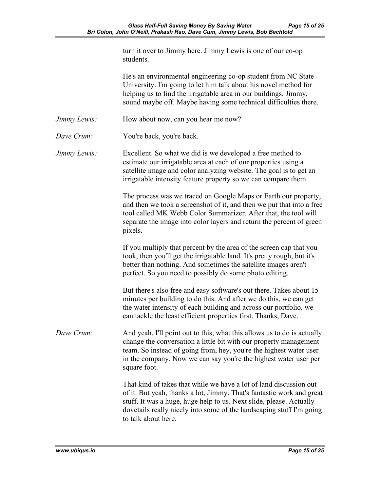| turn it over to Jimmy here. Jimmy Lewis is one of our co-op |  |
|-------------------------------------------------------------|--|
| students.                                                   |  |

He's an environmental engineering co-op student from NC State University. I'm going to let him talk about his novel method for helping us to find the irrigatable area in our buildings. Jimmy, sound maybe off. Maybe having some technical difficulties there.

- *Jimmy Lewis:* How about now, can you hear me now?
- *Dave Crum:* You're back, you're back.
- *Jimmy Lewis:* Excellent. So what we did is we developed a free method to estimate our irrigatable area at each of our properties using a satellite image and color analyzing website. The goal is to get an irrigatable intensity feature property so we can compare them.

The process was we traced on Google Maps or Earth our property, and then we took a screenshot of it, and then we put that into a free tool called MK Webb Color Summarizer. After that, the tool will separate the image into color layers and return the percent of green pixels.

If you multiply that percent by the area of the screen cap that you took, then you'll get the irrigatable land. It's pretty rough, but it's better than nothing. And sometimes the satellite images aren't perfect. So you need to possibly do some photo editing.

But there's also free and easy software's out there. Takes about 15 minutes per building to do this. And after we do this, we can get the water intensity of each building and across our portfolio, we can tackle the least efficient properties first. Thanks, Dave.

*Dave Crum:* And yeah, I'll point out to this, what this allows us to do is actually change the conversation a little bit with our property management team. So instead of going from, hey, you're the highest water user in the company. Now we can say you're the highest water user per square foot.

> That kind of takes that while we have a lot of land discussion out of it. But yeah, thanks a lot, Jimmy. That's fantastic work and great stuff. It was a huge, huge help to us. Next slide, please. Actually dovetails really nicely into some of the landscaping stuff I'm going to talk about here.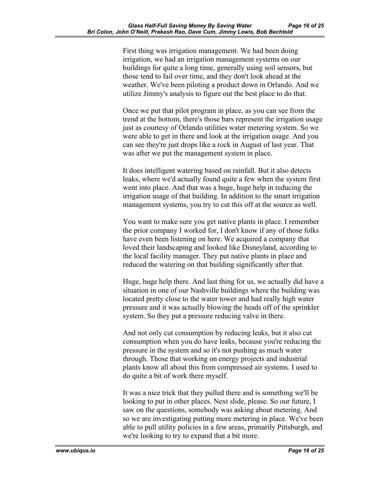First thing was irrigation management. We had been doing irrigation, we had an irrigation management systems on our buildings for quite a long time, generally using soil sensors, but those tend to fail over time, and they don't look ahead at the weather. We've been piloting a product down in Orlando. And we utilize Jimmy's analysis to figure out the best place to do that.

Once we put that pilot program in place, as you can see from the trend at the bottom, there's those bars represent the irrigation usage just as courtesy of Orlando utilities water metering system. So we were able to get in there and look at the irrigation usage. And you can see they're just drops like a rock in August of last year. That was after we put the management system in place.

It does intelligent watering based on rainfall. But it also detects leaks, where we'd actually found quite a few when the system first went into place. And that was a huge, huge help in reducing the irrigation usage of that building. In addition to the smart irrigation management systems, you try to cut this off at the source as well.

You want to make sure you get native plants in place. I remember the prior company I worked for, I don't know if any of those folks have even been listening on here. We acquired a company that loved their landscaping and looked like Disneyland, according to the local facility manager. They put native plants in place and reduced the watering on that building significantly after that.

Huge, huge help there. And last thing for us, we actually did have a situation in one of our Nashville buildings where the building was located pretty close to the water tower and had really high water pressure and it was actually blowing the heads off of the sprinkler system. So they put a pressure reducing valve in there.

And not only cut consumption by reducing leaks, but it also cut consumption when you do have leaks, because you're reducing the pressure in the system and so it's not pushing as much water through. Those that working on energy projects and industrial plants know all about this from compressed air systems. I used to do quite a bit of work there myself.

It was a nice trick that they pulled there and is something we'll be looking to put in other places. Next slide, please. So our future, I saw on the questions, somebody was asking about metering. And so we are investigating putting more metering in place. We've been able to pull utility policies in a few areas, primarily Pittsburgh, and we're looking to try to expand that a bit more.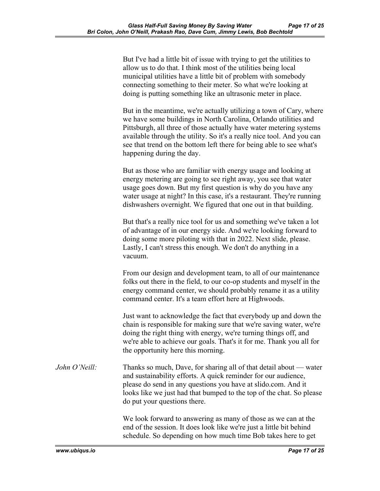But I've had a little bit of issue with trying to get the utilities to allow us to do that. I think most of the utilities being local municipal utilities have a little bit of problem with somebody connecting something to their meter. So what we're looking at doing is putting something like an ultrasonic meter in place.

But in the meantime, we're actually utilizing a town of Cary, where we have some buildings in North Carolina, Orlando utilities and Pittsburgh, all three of those actually have water metering systems available through the utility. So it's a really nice tool. And you can see that trend on the bottom left there for being able to see what's happening during the day.

But as those who are familiar with energy usage and looking at energy metering are going to see right away, you see that water usage goes down. But my first question is why do you have any water usage at night? In this case, it's a restaurant. They're running dishwashers overnight. We figured that one out in that building.

But that's a really nice tool for us and something we've taken a lot of advantage of in our energy side. And we're looking forward to doing some more piloting with that in 2022. Next slide, please. Lastly, I can't stress this enough. We don't do anything in a vacuum.

From our design and development team, to all of our maintenance folks out there in the field, to our co-op students and myself in the energy command center, we should probably rename it as a utility command center. It's a team effort here at Highwoods.

Just want to acknowledge the fact that everybody up and down the chain is responsible for making sure that we're saving water, we're doing the right thing with energy, we're turning things off, and we're able to achieve our goals. That's it for me. Thank you all for the opportunity here this morning.

*John O'Neill:* Thanks so much, Dave, for sharing all of that detail about — water and sustainability efforts. A quick reminder for our audience, please do send in any questions you have at slido.com. And it looks like we just had that bumped to the top of the chat. So please do put your questions there.

> We look forward to answering as many of those as we can at the end of the session. It does look like we're just a little bit behind schedule. So depending on how much time Bob takes here to get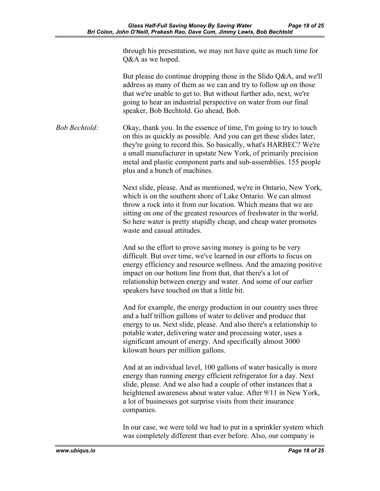through his presentation, we may not have quite as much time for Q&A as we hoped.

But please do continue dropping those in the Slido Q&A, and we'll address as many of them as we can and try to follow up on those that we're unable to get to. But without further ado, next, we're going to hear an industrial perspective on water from our final speaker, Bob Bechtold. Go ahead, Bob.

*Bob Bechtold:* Okay, thank you. In the essence of time, I'm going to try to touch on this as quickly as possible. And you can get these slides later, they're going to record this. So basically, what's HARBEC? We're a small manufacturer in upstate New York, of primarily precision metal and plastic component parts and sub-assemblies. 155 people plus and a bunch of machines.

> Next slide, please. And as mentioned, we're in Ontario, New York, which is on the southern shore of Lake Ontario. We can almost throw a rock into it from our location. Which means that we are sitting on one of the greatest resources of freshwater in the world. So here water is pretty stupidly cheap, and cheap water promotes waste and casual attitudes.

> And so the effort to prove saving money is going to be very difficult. But over time, we've learned in our efforts to focus on energy efficiency and resource wellness. And the amazing positive impact on our bottom line from that, that there's a lot of relationship between energy and water. And some of our earlier speakers have touched on that a little bit.

And for example, the energy production in our country uses three and a half trillion gallons of water to deliver and produce that energy to us. Next slide, please. And also there's a relationship to potable water, delivering water and processing water, uses a significant amount of energy. And specifically almost 3000 kilowatt hours per million gallons.

And at an individual level, 100 gallons of water basically is more energy than running energy efficient refrigerator for a day. Next slide, please. And we also had a couple of other instances that a heightened awareness about water value. After 9/11 in New York, a lot of businesses got surprise visits from their insurance companies.

In our case, we were told we had to put in a sprinkler system which was completely different than ever before. Also, our company is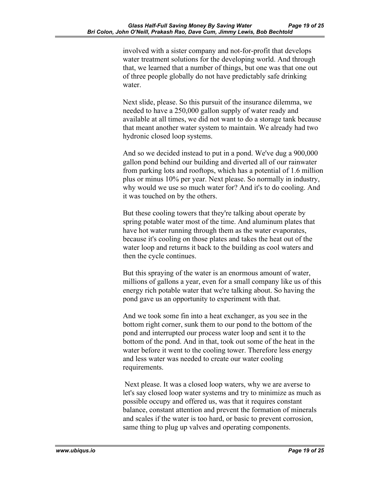involved with a sister company and not-for-profit that develops water treatment solutions for the developing world. And through that, we learned that a number of things, but one was that one out of three people globally do not have predictably safe drinking water.

Next slide, please. So this pursuit of the insurance dilemma, we needed to have a 250,000 gallon supply of water ready and available at all times, we did not want to do a storage tank because that meant another water system to maintain. We already had two hydronic closed loop systems.

And so we decided instead to put in a pond. We've dug a 900,000 gallon pond behind our building and diverted all of our rainwater from parking lots and rooftops, which has a potential of 1.6 million plus or minus 10% per year. Next please. So normally in industry, why would we use so much water for? And it's to do cooling. And it was touched on by the others.

But these cooling towers that they're talking about operate by spring potable water most of the time. And aluminum plates that have hot water running through them as the water evaporates, because it's cooling on those plates and takes the heat out of the water loop and returns it back to the building as cool waters and then the cycle continues.

But this spraying of the water is an enormous amount of water, millions of gallons a year, even for a small company like us of this energy rich potable water that we're talking about. So having the pond gave us an opportunity to experiment with that.

And we took some fin into a heat exchanger, as you see in the bottom right corner, sunk them to our pond to the bottom of the pond and interrupted our process water loop and sent it to the bottom of the pond. And in that, took out some of the heat in the water before it went to the cooling tower. Therefore less energy and less water was needed to create our water cooling requirements.

Next please. It was a closed loop waters, why we are averse to let's say closed loop water systems and try to minimize as much as possible occupy and offered us, was that it requires constant balance, constant attention and prevent the formation of minerals and scales if the water is too hard, or basic to prevent corrosion, same thing to plug up valves and operating components.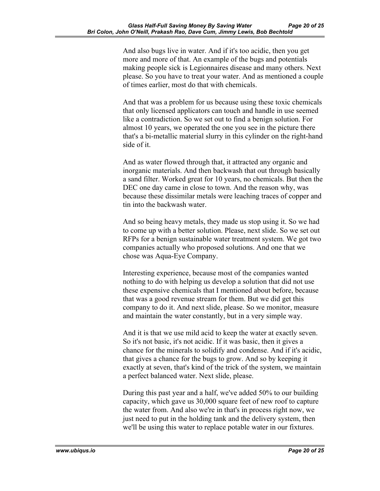And also bugs live in water. And if it's too acidic, then you get more and more of that. An example of the bugs and potentials making people sick is Legionnaires disease and many others. Next please. So you have to treat your water. And as mentioned a couple of times earlier, most do that with chemicals.

And that was a problem for us because using these toxic chemicals that only licensed applicators can touch and handle in use seemed like a contradiction. So we set out to find a benign solution. For almost 10 years, we operated the one you see in the picture there that's a bi-metallic material slurry in this cylinder on the right-hand side of it.

And as water flowed through that, it attracted any organic and inorganic materials. And then backwash that out through basically a sand filter. Worked great for 10 years, no chemicals. But then the DEC one day came in close to town. And the reason why, was because these dissimilar metals were leaching traces of copper and tin into the backwash water.

And so being heavy metals, they made us stop using it. So we had to come up with a better solution. Please, next slide. So we set out RFPs for a benign sustainable water treatment system. We got two companies actually who proposed solutions. And one that we chose was Aqua-Eye Company.

Interesting experience, because most of the companies wanted nothing to do with helping us develop a solution that did not use these expensive chemicals that I mentioned about before, because that was a good revenue stream for them. But we did get this company to do it. And next slide, please. So we monitor, measure and maintain the water constantly, but in a very simple way.

And it is that we use mild acid to keep the water at exactly seven. So it's not basic, it's not acidic. If it was basic, then it gives a chance for the minerals to solidify and condense. And if it's acidic, that gives a chance for the bugs to grow. And so by keeping it exactly at seven, that's kind of the trick of the system, we maintain a perfect balanced water. Next slide, please.

During this past year and a half, we've added 50% to our building capacity, which gave us 30,000 square feet of new roof to capture the water from. And also we're in that's in process right now, we just need to put in the holding tank and the delivery system, then we'll be using this water to replace potable water in our fixtures.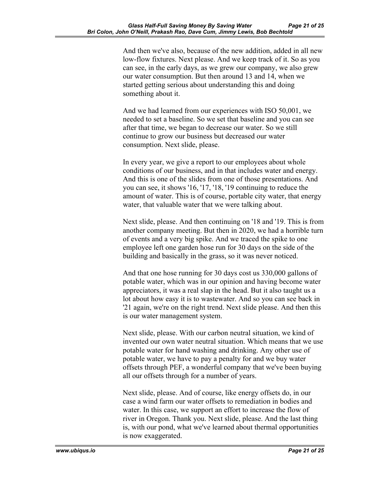And then we've also, because of the new addition, added in all new low-flow fixtures. Next please. And we keep track of it. So as you can see, in the early days, as we grew our company, we also grew our water consumption. But then around 13 and 14, when we started getting serious about understanding this and doing something about it.

And we had learned from our experiences with ISO 50,001, we needed to set a baseline. So we set that baseline and you can see after that time, we began to decrease our water. So we still continue to grow our business but decreased our water consumption. Next slide, please.

In every year, we give a report to our employees about whole conditions of our business, and in that includes water and energy. And this is one of the slides from one of those presentations. And you can see, it shows '16, '17, '18, '19 continuing to reduce the amount of water. This is of course, portable city water, that energy water, that valuable water that we were talking about.

Next slide, please. And then continuing on '18 and '19. This is from another company meeting. But then in 2020, we had a horrible turn of events and a very big spike. And we traced the spike to one employee left one garden hose run for 30 days on the side of the building and basically in the grass, so it was never noticed.

And that one hose running for 30 days cost us 330,000 gallons of potable water, which was in our opinion and having become water appreciators, it was a real slap in the head. But it also taught us a lot about how easy it is to wastewater. And so you can see back in '21 again, we're on the right trend. Next slide please. And then this is our water management system.

Next slide, please. With our carbon neutral situation, we kind of invented our own water neutral situation. Which means that we use potable water for hand washing and drinking. Any other use of potable water, we have to pay a penalty for and we buy water offsets through PEF, a wonderful company that we've been buying all our offsets through for a number of years.

Next slide, please. And of course, like energy offsets do, in our case a wind farm our water offsets to remediation in bodies and water. In this case, we support an effort to increase the flow of river in Oregon. Thank you. Next slide, please. And the last thing is, with our pond, what we've learned about thermal opportunities is now exaggerated.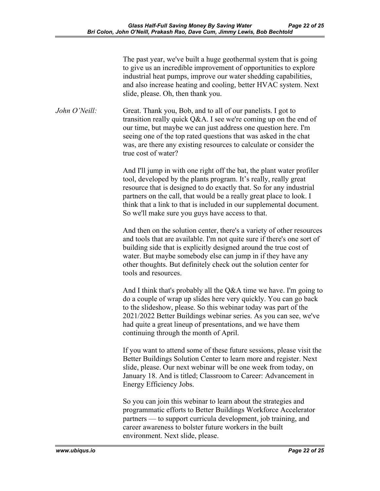The past year, we've built a huge geothermal system that is going to give us an incredible improvement of opportunities to explore industrial heat pumps, improve our water shedding capabilities, and also increase heating and cooling, better HVAC system. Next slide, please. Oh, then thank you.

*John O'Neill:* Great. Thank you, Bob, and to all of our panelists. I got to transition really quick Q&A. I see we're coming up on the end of our time, but maybe we can just address one question here. I'm seeing one of the top rated questions that was asked in the chat was, are there any existing resources to calculate or consider the true cost of water?

> And I'll jump in with one right off the bat, the plant water profiler tool, developed by the plants program. It's really, really great resource that is designed to do exactly that. So for any industrial partners on the call, that would be a really great place to look. I think that a link to that is included in our supplemental document. So we'll make sure you guys have access to that.

And then on the solution center, there's a variety of other resources and tools that are available. I'm not quite sure if there's one sort of building side that is explicitly designed around the true cost of water. But maybe somebody else can jump in if they have any other thoughts. But definitely check out the solution center for tools and resources.

And I think that's probably all the Q&A time we have. I'm going to do a couple of wrap up slides here very quickly. You can go back to the slideshow, please. So this webinar today was part of the 2021/2022 Better Buildings webinar series. As you can see, we've had quite a great lineup of presentations, and we have them continuing through the month of April.

If you want to attend some of these future sessions, please visit the Better Buildings Solution Center to learn more and register. Next slide, please. Our next webinar will be one week from today, on January 18. And is titled; Classroom to Career: Advancement in Energy Efficiency Jobs.

So you can join this webinar to learn about the strategies and programmatic efforts to Better Buildings Workforce Accelerator partners — to support curricula development, job training, and career awareness to bolster future workers in the built environment. Next slide, please.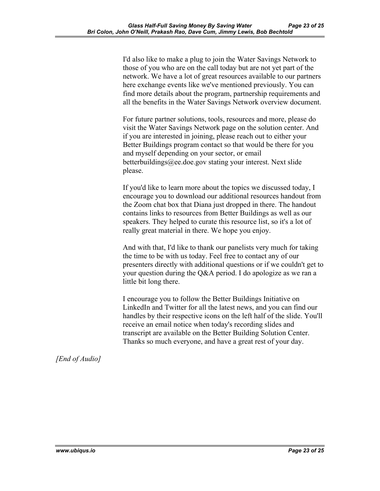I'd also like to make a plug to join the Water Savings Network to those of you who are on the call today but are not yet part of the network. We have a lot of great resources available to our partners here exchange events like we've mentioned previously. You can find more details about the program, partnership requirements and all the benefits in the Water Savings Network overview document.

For future partner solutions, tools, resources and more, please do visit the Water Savings Network page on the solution center. And if you are interested in joining, please reach out to either your Better Buildings program contact so that would be there for you and myself depending on your sector, or email betterbuildings@ee.doe.gov stating your interest. Next slide please.

If you'd like to learn more about the topics we discussed today, I encourage you to download our additional resources handout from the Zoom chat box that Diana just dropped in there. The handout contains links to resources from Better Buildings as well as our speakers. They helped to curate this resource list, so it's a lot of really great material in there. We hope you enjoy.

And with that, I'd like to thank our panelists very much for taking the time to be with us today. Feel free to contact any of our presenters directly with additional questions or if we couldn't get to your question during the Q&A period. I do apologize as we ran a little bit long there.

I encourage you to follow the Better Buildings Initiative on LinkedIn and Twitter for all the latest news, and you can find our handles by their respective icons on the left half of the slide. You'll receive an email notice when today's recording slides and transcript are available on the Better Building Solution Center. Thanks so much everyone, and have a great rest of your day.

*[End of Audio]*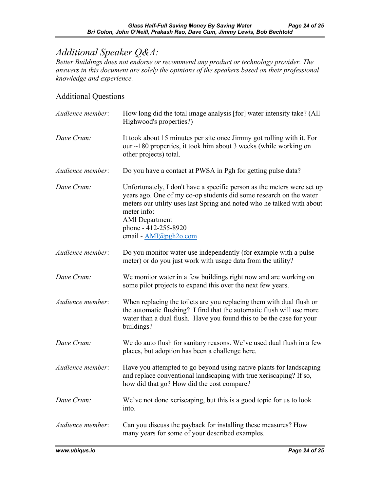## *Additional Speaker Q&A:*

*Better Buildings does not endorse or recommend any product or technology provider. The answers in this document are solely the opinions of the speakers based on their professional knowledge and experience.* 

## Additional Questions

| Audience member: | How long did the total image analysis [for] water intensity take? (All<br>Highwood's properties?)                                                                                                                                                                                                                |
|------------------|------------------------------------------------------------------------------------------------------------------------------------------------------------------------------------------------------------------------------------------------------------------------------------------------------------------|
| Dave Crum:       | It took about 15 minutes per site once Jimmy got rolling with it. For<br>our $\sim$ 180 properties, it took him about 3 weeks (while working on<br>other projects) total.                                                                                                                                        |
| Audience member: | Do you have a contact at PWSA in Pgh for getting pulse data?                                                                                                                                                                                                                                                     |
| Dave Crum:       | Unfortunately, I don't have a specific person as the meters were set up<br>years ago. One of my co-op students did some research on the water<br>meters our utility uses last Spring and noted who he talked with about<br>meter info:<br><b>AMI</b> Department<br>phone - 412-255-8920<br>email - AMI@pgh2o.com |
| Audience member: | Do you monitor water use independently (for example with a pulse<br>meter) or do you just work with usage data from the utility?                                                                                                                                                                                 |
| Dave Crum:       | We monitor water in a few buildings right now and are working on<br>some pilot projects to expand this over the next few years.                                                                                                                                                                                  |
| Audience member: | When replacing the toilets are you replacing them with dual flush or<br>the automatic flushing? I find that the automatic flush will use more<br>water than a dual flush. Have you found this to be the case for your<br>buildings?                                                                              |
| Dave Crum:       | We do auto flush for sanitary reasons. We've used dual flush in a few<br>places, but adoption has been a challenge here.                                                                                                                                                                                         |
| Audience member: | Have you attempted to go beyond using native plants for landscaping<br>and replace conventional landscaping with true xeriscaping? If so,<br>how did that go? How did the cost compare?                                                                                                                          |
| Dave Crum:       | We've not done xeriscaping, but this is a good topic for us to look<br>into.                                                                                                                                                                                                                                     |
| Audience member: | Can you discuss the payback for installing these measures? How<br>many years for some of your described examples.                                                                                                                                                                                                |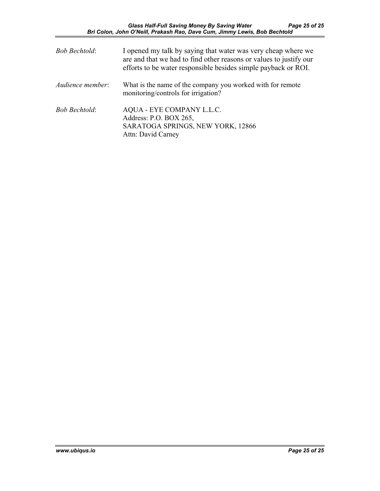| <b>Bob Bechtold:</b> | I opened my talk by saying that water was very cheap where we<br>are and that we had to find other reasons or values to justify our<br>efforts to be water responsible besides simple payback or ROI. |
|----------------------|-------------------------------------------------------------------------------------------------------------------------------------------------------------------------------------------------------|
| Audience member:     | What is the name of the company you worked with for remote<br>monitoring/controls for irrigation?                                                                                                     |
| <b>Bob Bechtold:</b> | AQUA - EYE COMPANY L.L.C.<br>Address: P.O. BOX 265,<br>SARATOGA SPRINGS, NEW YORK, 12866<br>Attn: David Carney                                                                                        |